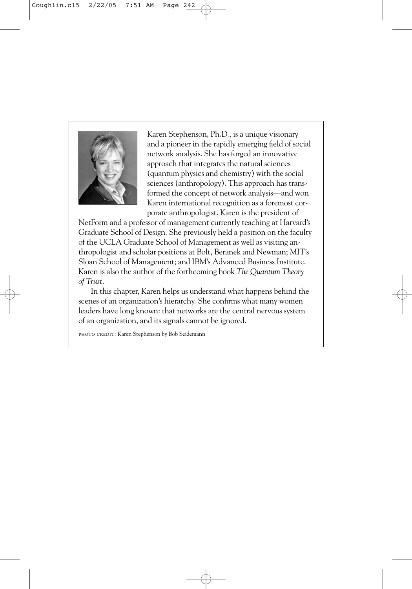

Karen Stephenson, Ph.D., is a unique visionary and a pioneer in the rapidly emerging field of social network analysis. She has forged an innovative approach that integrates the natural sciences (quantum physics and chemistry) with the social sciences (anthropology). This approach has transformed the concept of network analysis—and won Karen international recognition as a foremost corporate anthropologist. Karen is the president of

NetForm and a professor of management currently teaching at Harvard's Graduate School of Design. She previously held a position on the faculty of the UCLA Graduate School of Management as well as visiting anthropologist and scholar positions at Bolt, Beranek and Newman; MIT's Sloan School of Management; and IBM's Advanced Business Institute. Karen is also the author of the forthcoming book *The Quantum Theory of Trust.*

In this chapter, Karen helps us understand what happens behind the scenes of an organization's hierarchy. She confirms what many women leaders have long known: that networks are the central nervous system of an organization, and its signals cannot be ignored.

PHOTO CREDIT: Karen Stephenson by Bob Seidemann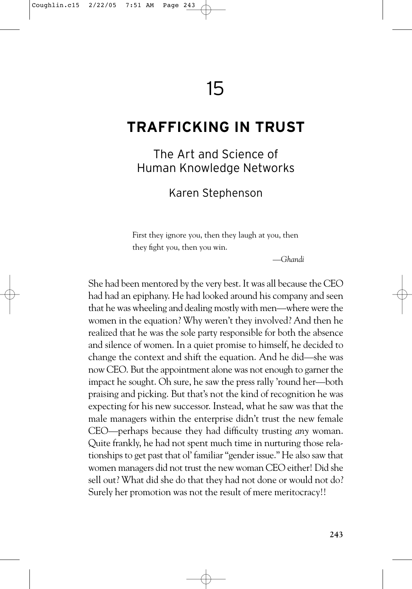# 15

## **TRAFFICKING IN TRUST**

The Art and Science of Human Knowledge Networks

Karen Stephenson

First they ignore you, then they laugh at you, then they fight you, then you win.

*—Ghandi*

She had been mentored by the very best. It was all because the CEO had had an epiphany. He had looked around his company and seen that he was wheeling and dealing mostly with men—where were the women in the equation? Why weren't they involved? And then he realized that he was the sole party responsible for both the absence and silence of women. In a quiet promise to himself, he decided to change the context and shift the equation. And he did—she was now CEO. But the appointment alone was not enough to garner the impact he sought. Oh sure, he saw the press rally 'round her—both praising and picking. But that's not the kind of recognition he was expecting for his new successor. Instead, what he saw was that the male managers within the enterprise didn't trust the new female CEO—perhaps because they had difficulty trusting *any* woman. Quite frankly, he had not spent much time in nurturing those relationships to get past that ol' familiar "gender issue." He also saw that women managers did not trust the new woman CEO either! Did she sell out? What did she do that they had not done or would not do? Surely her promotion was not the result of mere meritocracy!!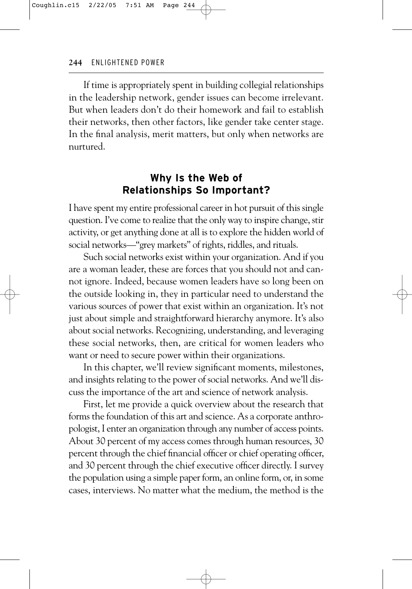If time is appropriately spent in building collegial relationships in the leadership network, gender issues can become irrelevant. But when leaders don't do their homework and fail to establish their networks, then other factors, like gender take center stage. In the final analysis, merit matters, but only when networks are nurtured.

## **Why Is the Web of Relationships So Important?**

I have spent my entire professional career in hot pursuit of this single question. I've come to realize that the only way to inspire change, stir activity, or get anything done at all is to explore the hidden world of social networks—"grey markets" of rights, riddles, and rituals.

Such social networks exist within your organization. And if you are a woman leader, these are forces that you should not and cannot ignore. Indeed, because women leaders have so long been on the outside looking in, they in particular need to understand the various sources of power that exist within an organization. It's not just about simple and straightforward hierarchy anymore. It's also about social networks. Recognizing, understanding, and leveraging these social networks, then, are critical for women leaders who want or need to secure power within their organizations.

In this chapter, we'll review significant moments, milestones, and insights relating to the power of social networks. And we'll discuss the importance of the art and science of network analysis.

First, let me provide a quick overview about the research that forms the foundation of this art and science. As a corporate anthropologist, I enter an organization through any number of access points. About 30 percent of my access comes through human resources, 30 percent through the chief financial officer or chief operating officer, and 30 percent through the chief executive officer directly. I survey the population using a simple paper form, an online form, or, in some cases, interviews. No matter what the medium, the method is the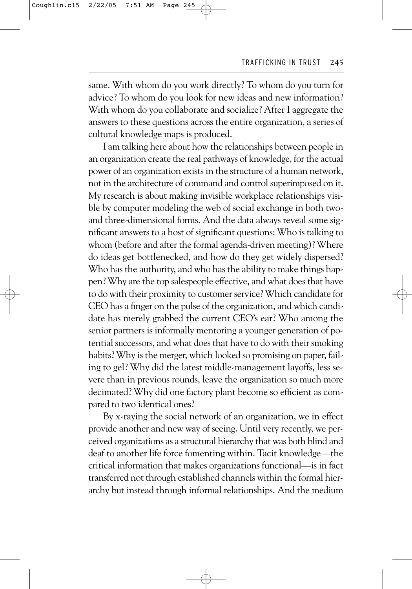same. With whom do you work directly? To whom do you turn for advice? To whom do you look for new ideas and new information? With whom do you collaborate and socialize? After I aggregate the answers to these questions across the entire organization, a series of cultural knowledge maps is produced.

I am talking here about how the relationships between people in an organization create the real pathways of knowledge, for the actual power of an organization exists in the structure of a human network, not in the architecture of command and control superimposed on it. My research is about making invisible workplace relationships visible by computer modeling the web of social exchange in both twoand three-dimensional forms. And the data always reveal some significant answers to a host of significant questions: Who is talking to whom (before and after the formal agenda-driven meeting)? Where do ideas get bottlenecked, and how do they get widely dispersed? Who has the authority, and who has the ability to make things happen? Why are the top salespeople effective, and what does that have to do with their proximity to customer service? Which candidate for CEO has a finger on the pulse of the organization, and which candidate has merely grabbed the current CEO's ear? Who among the senior partners is informally mentoring a younger generation of potential successors, and what does that have to do with their smoking habits? Why is the merger, which looked so promising on paper, failing to gel? Why did the latest middle-management layoffs, less severe than in previous rounds, leave the organization so much more decimated? Why did one factory plant become so efficient as compared to two identical ones?

By x-raying the social network of an organization, we in effect provide another and new way of seeing. Until very recently, we perceived organizations as a structural hierarchy that was both blind and deaf to another life force fomenting within. Tacit knowledge—the critical information that makes organizations functional—is in fact transferred not through established channels within the formal hierarchy but instead through informal relationships. And the medium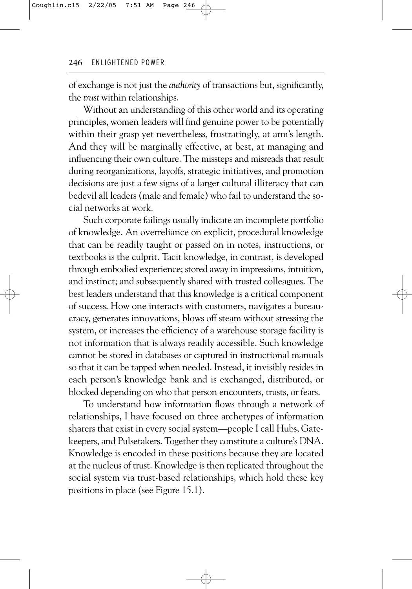of exchange is not just the *authority* of transactions but, significantly, the *trust* within relationships.

Without an understanding of this other world and its operating principles, women leaders will find genuine power to be potentially within their grasp yet nevertheless, frustratingly, at arm's length. And they will be marginally effective, at best, at managing and influencing their own culture. The missteps and misreads that result during reorganizations, layoffs, strategic initiatives, and promotion decisions are just a few signs of a larger cultural illiteracy that can bedevil all leaders (male and female) who fail to understand the social networks at work.

Such corporate failings usually indicate an incomplete portfolio of knowledge. An overreliance on explicit, procedural knowledge that can be readily taught or passed on in notes, instructions, or textbooks is the culprit. Tacit knowledge, in contrast, is developed through embodied experience; stored away in impressions, intuition, and instinct; and subsequently shared with trusted colleagues. The best leaders understand that this knowledge is a critical component of success. How one interacts with customers, navigates a bureaucracy, generates innovations, blows off steam without stressing the system, or increases the efficiency of a warehouse storage facility is not information that is always readily accessible. Such knowledge cannot be stored in databases or captured in instructional manuals so that it can be tapped when needed. Instead, it invisibly resides in each person's knowledge bank and is exchanged, distributed, or blocked depending on who that person encounters, trusts, or fears.

To understand how information flows through a network of relationships, I have focused on three archetypes of information sharers that exist in every social system—people I call Hubs, Gatekeepers, and Pulsetakers. Together they constitute a culture's DNA. Knowledge is encoded in these positions because they are located at the nucleus of trust. Knowledge is then replicated throughout the social system via trust-based relationships, which hold these key positions in place (see Figure 15.1).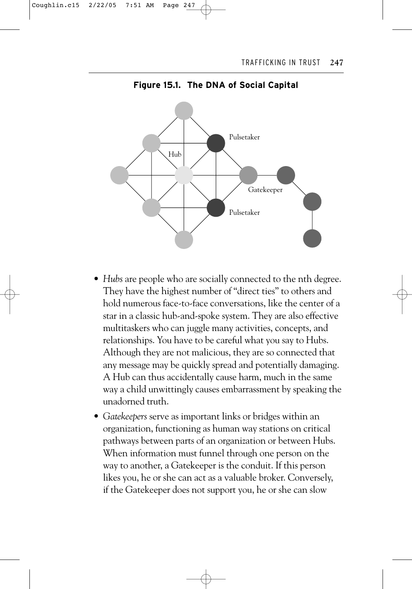

**Figure 15.1. The DNA of Social Capital**

- *Hubs* are people who are socially connected to the nth degree. They have the highest number of "direct ties" to others and hold numerous face-to-face conversations, like the center of a star in a classic hub-and-spoke system. They are also effective multitaskers who can juggle many activities, concepts, and relationships. You have to be careful what you say to Hubs. Although they are not malicious, they are so connected that any message may be quickly spread and potentially damaging. A Hub can thus accidentally cause harm, much in the same way a child unwittingly causes embarrassment by speaking the unadorned truth.
- *Gatekeepers* serve as important links or bridges within an organization, functioning as human way stations on critical pathways between parts of an organization or between Hubs. When information must funnel through one person on the way to another, a Gatekeeper is the conduit. If this person likes you, he or she can act as a valuable broker. Conversely, if the Gatekeeper does not support you, he or she can slow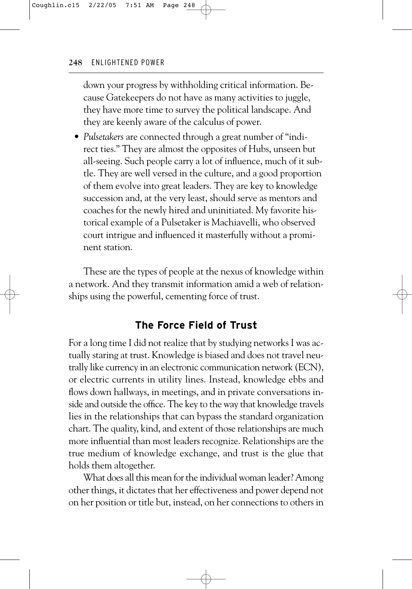down your progress by withholding critical information. Because Gatekeepers do not have as many activities to juggle, they have more time to survey the political landscape. And they are keenly aware of the calculus of power.

• *Pulsetakers* are connected through a great number of "indirect ties." They are almost the opposites of Hubs, unseen but all-seeing. Such people carry a lot of influence, much of it subtle. They are well versed in the culture, and a good proportion of them evolve into great leaders. They are key to knowledge succession and, at the very least, should serve as mentors and coaches for the newly hired and uninitiated. My favorite historical example of a Pulsetaker is Machiavelli, who observed court intrigue and influenced it masterfully without a prominent station.

These are the types of people at the nexus of knowledge within a network. And they transmit information amid a web of relationships using the powerful, cementing force of trust.

## **The Force Field of Trust**

For a long time I did not realize that by studying networks I was actually staring at trust. Knowledge is biased and does not travel neutrally like currency in an electronic communication network (ECN), or electric currents in utility lines. Instead, knowledge ebbs and flows down hallways, in meetings, and in private conversations inside and outside the office. The key to the way that knowledge travels lies in the relationships that can bypass the standard organization chart. The quality, kind, and extent of those relationships are much more influential than most leaders recognize. Relationships are the true medium of knowledge exchange, and trust is the glue that holds them altogether.

What does all this mean for the individual woman leader? Among other things, it dictates that her effectiveness and power depend not on her position or title but, instead, on her connections to others in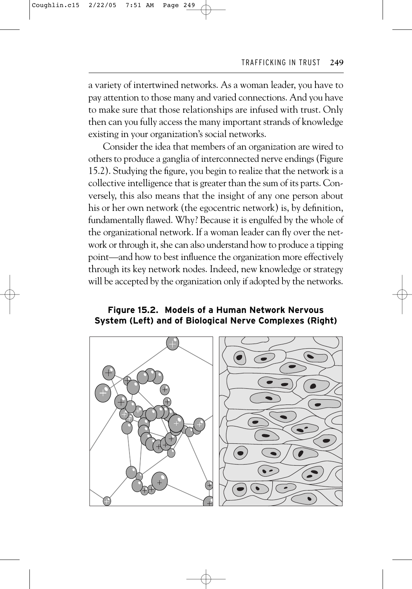a variety of intertwined networks. As a woman leader, you have to pay attention to those many and varied connections. And you have to make sure that those relationships are infused with trust. Only then can you fully access the many important strands of knowledge existing in your organization's social networks.

Consider the idea that members of an organization are wired to others to produce a ganglia of interconnected nerve endings (Figure 15.2). Studying the figure, you begin to realize that the network is a collective intelligence that is greater than the sum of its parts. Conversely, this also means that the insight of any one person about his or her own network (the egocentric network) is, by definition, fundamentally flawed. Why? Because it is engulfed by the whole of the organizational network. If a woman leader can fly over the network or through it, she can also understand how to produce a tipping point—and how to best influence the organization more effectively through its key network nodes. Indeed, new knowledge or strategy will be accepted by the organization only if adopted by the networks.

#### **Figure 15.2. Models of a Human Network Nervous System (Left) and of Biological Nerve Complexes (Right)**

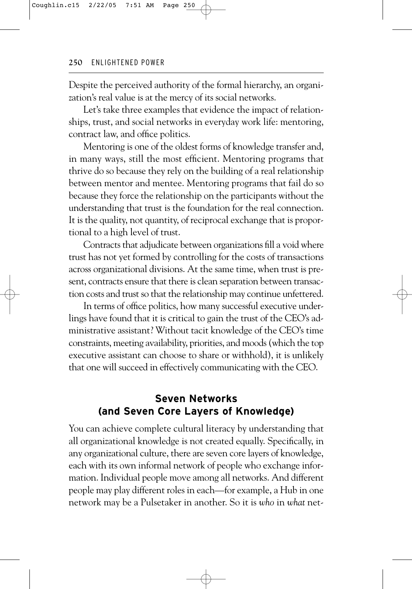Despite the perceived authority of the formal hierarchy, an organization's real value is at the mercy of its social networks.

Let's take three examples that evidence the impact of relationships, trust, and social networks in everyday work life: mentoring, contract law, and office politics.

Mentoring is one of the oldest forms of knowledge transfer and, in many ways, still the most efficient. Mentoring programs that thrive do so because they rely on the building of a real relationship between mentor and mentee. Mentoring programs that fail do so because they force the relationship on the participants without the understanding that trust is the foundation for the real connection. It is the quality, not quantity, of reciprocal exchange that is proportional to a high level of trust.

Contracts that adjudicate between organizations fill a void where trust has not yet formed by controlling for the costs of transactions across organizational divisions. At the same time, when trust is present, contracts ensure that there is clean separation between transaction costs and trust so that the relationship may continue unfettered.

In terms of office politics, how many successful executive underlings have found that it is critical to gain the trust of the CEO's administrative assistant? Without tacit knowledge of the CEO's time constraints, meeting availability, priorities, and moods (which the top executive assistant can choose to share or withhold), it is unlikely that one will succeed in effectively communicating with the CEO.

## **Seven Networks (and Seven Core Layers of Knowledge)**

You can achieve complete cultural literacy by understanding that all organizational knowledge is not created equally. Specifically, in any organizational culture, there are seven core layers of knowledge, each with its own informal network of people who exchange information. Individual people move among all networks. And different people may play different roles in each—for example, a Hub in one network may be a Pulsetaker in another. So it is *who* in *what* net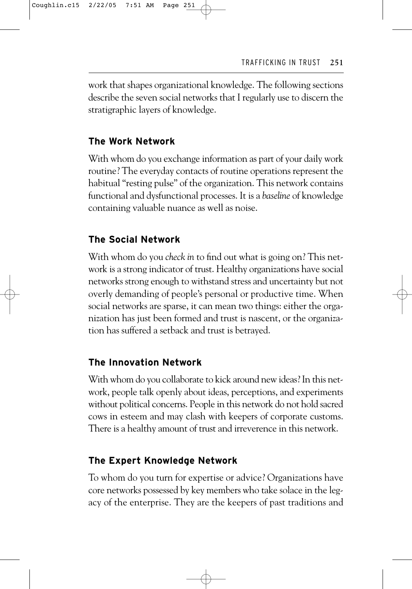work that shapes organizational knowledge. The following sections describe the seven social networks that I regularly use to discern the stratigraphic layers of knowledge.

## **The Work Network**

With whom do you exchange information as part of your daily work routine? The everyday contacts of routine operations represent the habitual "resting pulse" of the organization. This network contains functional and dysfunctional processes. It is a *baseline* of knowledge containing valuable nuance as well as noise.

## **The Social Network**

With whom do you *check in* to find out what is going on? This network is a strong indicator of trust. Healthy organizations have social networks strong enough to withstand stress and uncertainty but not overly demanding of people's personal or productive time. When social networks are sparse, it can mean two things: either the organization has just been formed and trust is nascent, or the organization has suffered a setback and trust is betrayed.

## **The Innovation Network**

With whom do you collaborate to kick around new ideas? In this network, people talk openly about ideas, perceptions, and experiments without political concerns. People in this network do not hold sacred cows in esteem and may clash with keepers of corporate customs. There is a healthy amount of trust and irreverence in this network.

## **The Expert Knowledge Network**

To whom do you turn for expertise or advice? Organizations have core networks possessed by key members who take solace in the legacy of the enterprise. They are the keepers of past traditions and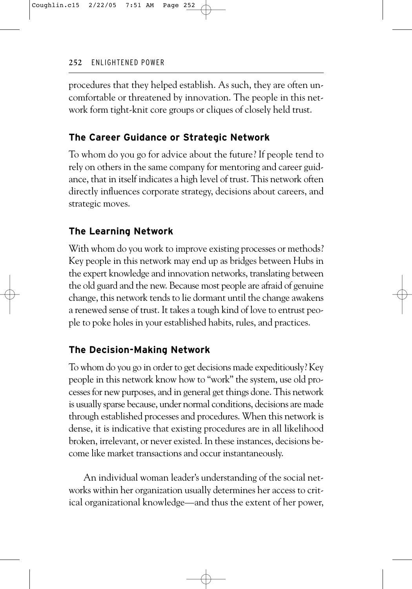procedures that they helped establish. As such, they are often uncomfortable or threatened by innovation. The people in this network form tight-knit core groups or cliques of closely held trust.

## **The Career Guidance or Strategic Network**

To whom do you go for advice about the future? If people tend to rely on others in the same company for mentoring and career guidance, that in itself indicates a high level of trust. This network often directly influences corporate strategy, decisions about careers, and strategic moves.

## **The Learning Network**

With whom do you work to improve existing processes or methods? Key people in this network may end up as bridges between Hubs in the expert knowledge and innovation networks, translating between the old guard and the new. Because most people are afraid of genuine change, this network tends to lie dormant until the change awakens a renewed sense of trust. It takes a tough kind of love to entrust people to poke holes in your established habits, rules, and practices.

## **The Decision-Making Network**

To whom do you go in order to get decisions made expeditiously? Key people in this network know how to "work" the system, use old processes for new purposes, and in general get things done. This network is usually sparse because, under normal conditions, decisions are made through established processes and procedures. When this network is dense, it is indicative that existing procedures are in all likelihood broken, irrelevant, or never existed. In these instances, decisions become like market transactions and occur instantaneously.

An individual woman leader's understanding of the social networks within her organization usually determines her access to critical organizational knowledge—and thus the extent of her power,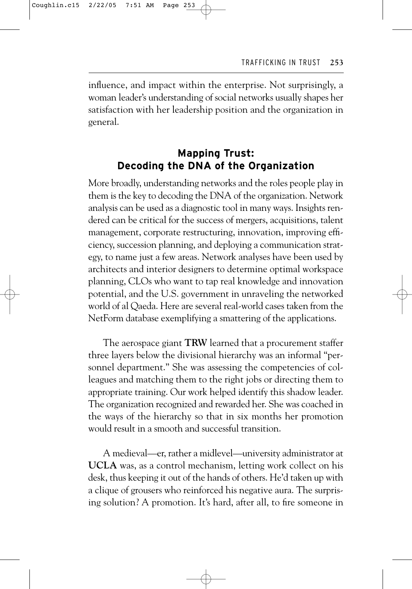influence, and impact within the enterprise. Not surprisingly, a woman leader's understanding of social networks usually shapes her satisfaction with her leadership position and the organization in general.

## **Mapping Trust: Decoding the DNA of the Organization**

More broadly, understanding networks and the roles people play in them is the key to decoding the DNA of the organization. Network analysis can be used as a diagnostic tool in many ways. Insights rendered can be critical for the success of mergers, acquisitions, talent management, corporate restructuring, innovation, improving efficiency, succession planning, and deploying a communication strategy, to name just a few areas. Network analyses have been used by architects and interior designers to determine optimal workspace planning, CLOs who want to tap real knowledge and innovation potential, and the U.S. government in unraveling the networked world of al Qaeda. Here are several real-world cases taken from the NetForm database exemplifying a smattering of the applications.

The aerospace giant **TRW** learned that a procurement staffer three layers below the divisional hierarchy was an informal "personnel department." She was assessing the competencies of colleagues and matching them to the right jobs or directing them to appropriate training. Our work helped identify this shadow leader. The organization recognized and rewarded her. She was coached in the ways of the hierarchy so that in six months her promotion would result in a smooth and successful transition.

A medieval—er, rather a midlevel—university administrator at **UCLA** was, as a control mechanism, letting work collect on his desk, thus keeping it out of the hands of others. He'd taken up with a clique of grousers who reinforced his negative aura. The surprising solution? A promotion. It's hard, after all, to fire someone in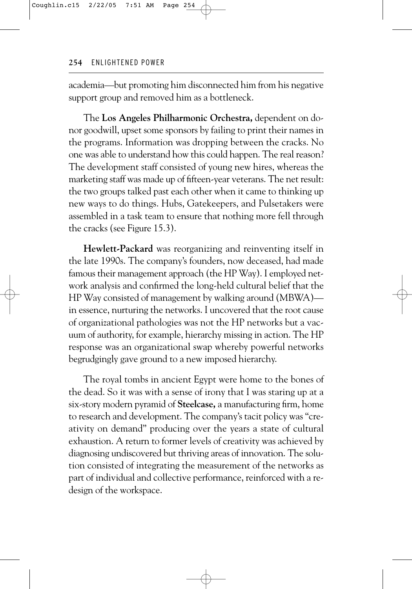Coughlin.c15 2/22/05 7:51 AM

#### **254** ENLIGHTENED POWER

academia—but promoting him disconnected him from his negative support group and removed him as a bottleneck.

The **Los Angeles Philharmonic Orchestra,** dependent on donor goodwill, upset some sponsors by failing to print their names in the programs. Information was dropping between the cracks. No one was able to understand how this could happen. The real reason? The development staff consisted of young new hires, whereas the marketing staff was made up of fifteen-year veterans. The net result: the two groups talked past each other when it came to thinking up new ways to do things. Hubs, Gatekeepers, and Pulsetakers were assembled in a task team to ensure that nothing more fell through the cracks (see Figure 15.3).

**Hewlett-Packard** was reorganizing and reinventing itself in the late 1990s. The company's founders, now deceased, had made famous their management approach (the HP Way). I employed network analysis and confirmed the long-held cultural belief that the HP Way consisted of management by walking around (MBWA) in essence, nurturing the networks. I uncovered that the root cause of organizational pathologies was not the HP networks but a vacuum of authority, for example, hierarchy missing in action. The HP response was an organizational swap whereby powerful networks begrudgingly gave ground to a new imposed hierarchy.

The royal tombs in ancient Egypt were home to the bones of the dead. So it was with a sense of irony that I was staring up at a six-story modern pyramid of **Steelcase,** a manufacturing firm, home to research and development. The company's tacit policy was "creativity on demand" producing over the years a state of cultural exhaustion. A return to former levels of creativity was achieved by diagnosing undiscovered but thriving areas of innovation. The solution consisted of integrating the measurement of the networks as part of individual and collective performance, reinforced with a redesign of the workspace.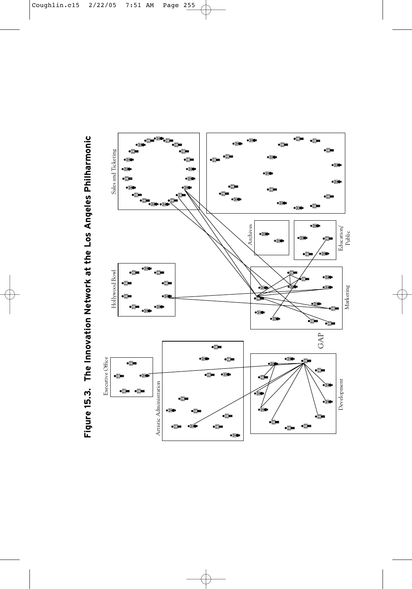



 $\overline{\varphi}$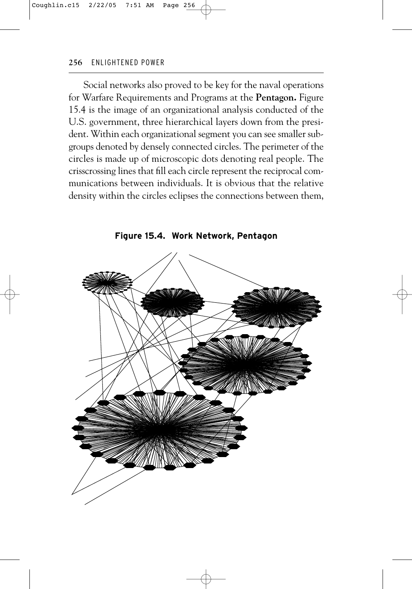Social networks also proved to be key for the naval operations for Warfare Requirements and Programs at the **Pentagon.** Figure 15.4 is the image of an organizational analysis conducted of the U.S. government, three hierarchical layers down from the president. Within each organizational segment you can see smaller subgroups denoted by densely connected circles. The perimeter of the circles is made up of microscopic dots denoting real people. The crisscrossing lines that fill each circle represent the reciprocal communications between individuals. It is obvious that the relative density within the circles eclipses the connections between them,

**Figure 15.4. Work Network, Pentagon**

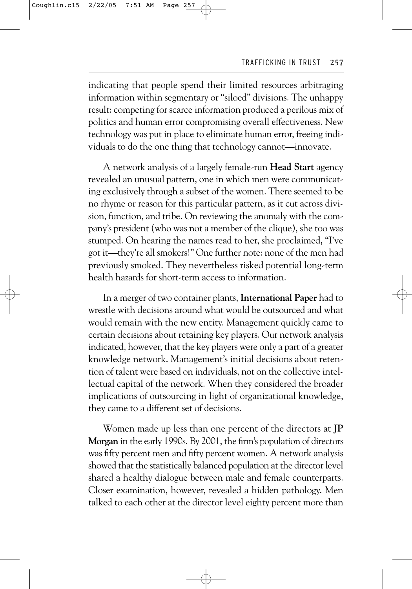#### TRAFFICKING IN TRUST **257**

indicating that people spend their limited resources arbitraging information within segmentary or "siloed" divisions. The unhappy result: competing for scarce information produced a perilous mix of politics and human error compromising overall effectiveness. New technology was put in place to eliminate human error, freeing individuals to do the one thing that technology cannot—innovate.

A network analysis of a largely female-run **Head Start** agency revealed an unusual pattern, one in which men were communicating exclusively through a subset of the women. There seemed to be no rhyme or reason for this particular pattern, as it cut across division, function, and tribe. On reviewing the anomaly with the company's president (who was not a member of the clique), she too was stumped. On hearing the names read to her, she proclaimed, "I've got it—they're all smokers!" One further note: none of the men had previously smoked. They nevertheless risked potential long-term health hazards for short-term access to information.

In a merger of two container plants, **International Paper** had to wrestle with decisions around what would be outsourced and what would remain with the new entity. Management quickly came to certain decisions about retaining key players. Our network analysis indicated, however, that the key players were only a part of a greater knowledge network. Management's initial decisions about retention of talent were based on individuals, not on the collective intellectual capital of the network. When they considered the broader implications of outsourcing in light of organizational knowledge, they came to a different set of decisions.

Women made up less than one percent of the directors at **JP Morgan** in the early 1990s. By 2001, the firm's population of directors was fifty percent men and fifty percent women. A network analysis showed that the statistically balanced population at the director level shared a healthy dialogue between male and female counterparts. Closer examination, however, revealed a hidden pathology. Men talked to each other at the director level eighty percent more than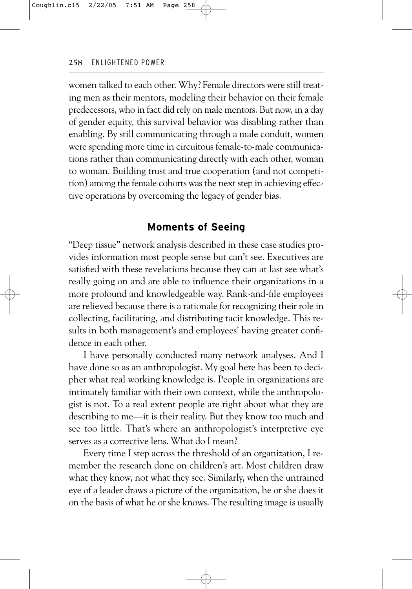women talked to each other. Why? Female directors were still treating men as their mentors, modeling their behavior on their female predecessors, who in fact did rely on male mentors. But now, in a day of gender equity, this survival behavior was disabling rather than enabling. By still communicating through a male conduit, women were spending more time in circuitous female-to-male communications rather than communicating directly with each other, woman to woman. Building trust and true cooperation (and not competition) among the female cohorts was the next step in achieving effective operations by overcoming the legacy of gender bias.

## **Moments of Seeing**

"Deep tissue" network analysis described in these case studies provides information most people sense but can't see. Executives are satisfied with these revelations because they can at last see what's really going on and are able to influence their organizations in a more profound and knowledgeable way. Rank-and-file employees are relieved because there is a rationale for recognizing their role in collecting, facilitating, and distributing tacit knowledge. This results in both management's and employees' having greater confidence in each other.

I have personally conducted many network analyses. And I have done so as an anthropologist. My goal here has been to decipher what real working knowledge is. People in organizations are intimately familiar with their own context, while the anthropologist is not. To a real extent people are right about what they are describing to me—it is their reality. But they know too much and see too little. That's where an anthropologist's interpretive eye serves as a corrective lens. What do I mean?

Every time I step across the threshold of an organization, I remember the research done on children's art. Most children draw what they know, not what they see. Similarly, when the untrained eye of a leader draws a picture of the organization, he or she does it on the basis of what he or she knows. The resulting image is usually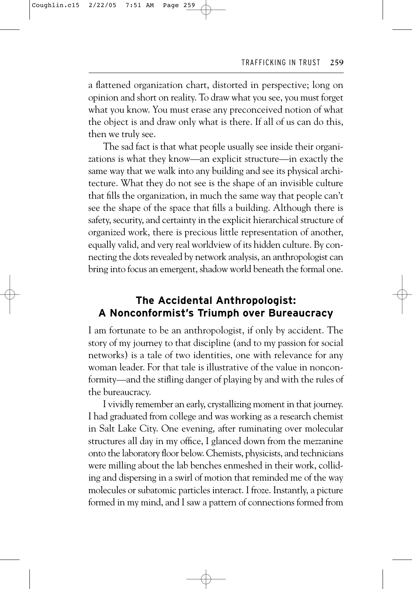#### TRAFFICKING IN TRUST **259**

a flattened organization chart, distorted in perspective; long on opinion and short on reality. To draw what you see, you must forget what you know. You must erase any preconceived notion of what the object is and draw only what is there. If all of us can do this, then we truly see.

The sad fact is that what people usually see inside their organizations is what they know—an explicit structure—in exactly the same way that we walk into any building and see its physical architecture. What they do not see is the shape of an invisible culture that fills the organization, in much the same way that people can't see the shape of the space that fills a building. Although there is safety, security, and certainty in the explicit hierarchical structure of organized work, there is precious little representation of another, equally valid, and very real worldview of its hidden culture. By connecting the dots revealed by network analysis, an anthropologist can bring into focus an emergent, shadow world beneath the formal one.

## **The Accidental Anthropologist: A Nonconformist's Triumph over Bureaucracy**

I am fortunate to be an anthropologist, if only by accident. The story of my journey to that discipline (and to my passion for social networks) is a tale of two identities, one with relevance for any woman leader. For that tale is illustrative of the value in nonconformity—and the stifling danger of playing by and with the rules of the bureaucracy.

I vividly remember an early, crystallizing moment in that journey. I had graduated from college and was working as a research chemist in Salt Lake City. One evening, after ruminating over molecular structures all day in my office, I glanced down from the mezzanine onto the laboratory floor below. Chemists, physicists, and technicians were milling about the lab benches enmeshed in their work, colliding and dispersing in a swirl of motion that reminded me of the way molecules or subatomic particles interact. I froze. Instantly, a picture formed in my mind, and I saw a pattern of connections formed from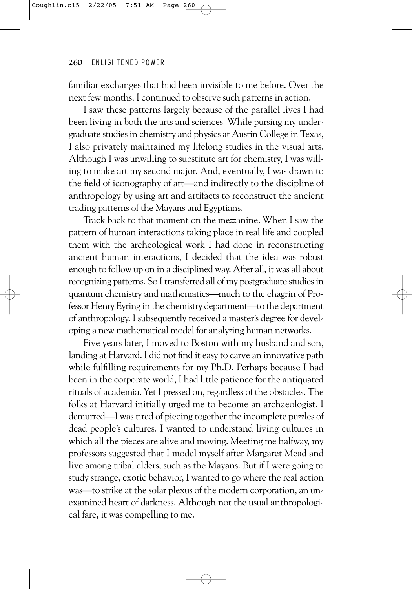familiar exchanges that had been invisible to me before. Over the next few months, I continued to observe such patterns in action.

I saw these patterns largely because of the parallel lives I had been living in both the arts and sciences. While pursing my undergraduate studies in chemistry and physics at Austin College in Texas, I also privately maintained my lifelong studies in the visual arts. Although I was unwilling to substitute art for chemistry, I was willing to make art my second major. And, eventually, I was drawn to the field of iconography of art—and indirectly to the discipline of anthropology by using art and artifacts to reconstruct the ancient trading patterns of the Mayans and Egyptians.

Track back to that moment on the mezzanine. When I saw the pattern of human interactions taking place in real life and coupled them with the archeological work I had done in reconstructing ancient human interactions, I decided that the idea was robust enough to follow up on in a disciplined way. After all, it was all about recognizing patterns. So I transferred all of my postgraduate studies in quantum chemistry and mathematics—much to the chagrin of Professor Henry Eyring in the chemistry department—to the department of anthropology. I subsequently received a master's degree for developing a new mathematical model for analyzing human networks.

Five years later, I moved to Boston with my husband and son, landing at Harvard. I did not find it easy to carve an innovative path while fulfilling requirements for my Ph.D. Perhaps because I had been in the corporate world, I had little patience for the antiquated rituals of academia. Yet I pressed on, regardless of the obstacles. The folks at Harvard initially urged me to become an archaeologist. I demurred—I was tired of piecing together the incomplete puzzles of dead people's cultures. I wanted to understand living cultures in which all the pieces are alive and moving. Meeting me halfway, my professors suggested that I model myself after Margaret Mead and live among tribal elders, such as the Mayans. But if I were going to study strange, exotic behavior, I wanted to go where the real action was—to strike at the solar plexus of the modern corporation, an unexamined heart of darkness. Although not the usual anthropological fare, it was compelling to me.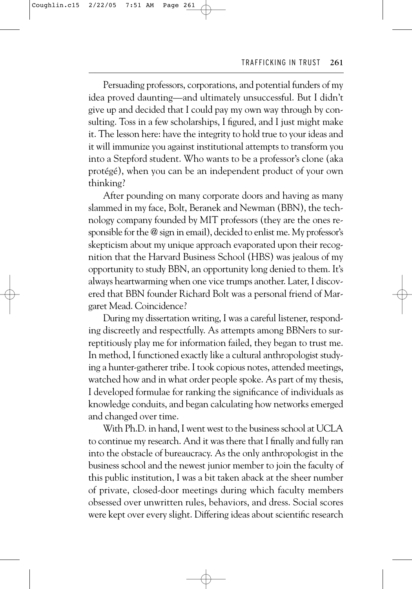#### TRAFFICKING IN TRUST **261**

Persuading professors, corporations, and potential funders of my idea proved daunting—and ultimately unsuccessful. But I didn't give up and decided that I could pay my own way through by consulting. Toss in a few scholarships, I figured, and I just might make it. The lesson here: have the integrity to hold true to your ideas and it will immunize you against institutional attempts to transform you into a Stepford student. Who wants to be a professor's clone (aka protégé), when you can be an independent product of your own thinking?

After pounding on many corporate doors and having as many slammed in my face, Bolt, Beranek and Newman (BBN), the technology company founded by MIT professors (they are the ones responsible for the @ sign in email), decided to enlist me. My professor's skepticism about my unique approach evaporated upon their recognition that the Harvard Business School (HBS) was jealous of my opportunity to study BBN, an opportunity long denied to them. It's always heartwarming when one vice trumps another. Later, I discovered that BBN founder Richard Bolt was a personal friend of Margaret Mead. Coincidence?

During my dissertation writing, I was a careful listener, responding discreetly and respectfully. As attempts among BBNers to surreptitiously play me for information failed, they began to trust me. In method, I functioned exactly like a cultural anthropologist studying a hunter-gatherer tribe. I took copious notes, attended meetings, watched how and in what order people spoke. As part of my thesis, I developed formulae for ranking the significance of individuals as knowledge conduits, and began calculating how networks emerged and changed over time.

With Ph.D. in hand, I went west to the business school at UCLA to continue my research. And it was there that I finally and fully ran into the obstacle of bureaucracy. As the only anthropologist in the business school and the newest junior member to join the faculty of this public institution, I was a bit taken aback at the sheer number of private, closed-door meetings during which faculty members obsessed over unwritten rules, behaviors, and dress. Social scores were kept over every slight. Differing ideas about scientific research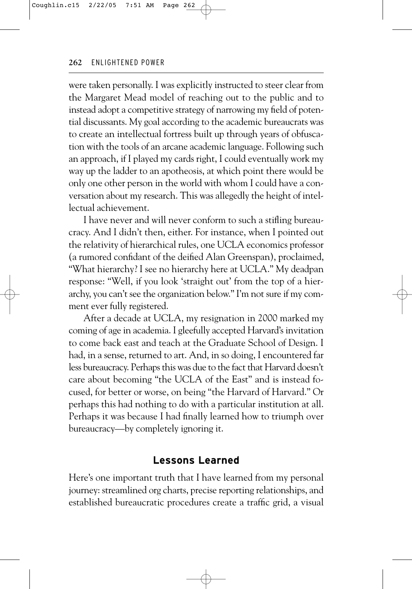were taken personally. I was explicitly instructed to steer clear from the Margaret Mead model of reaching out to the public and to instead adopt a competitive strategy of narrowing my field of potential discussants. My goal according to the academic bureaucrats was to create an intellectual fortress built up through years of obfuscation with the tools of an arcane academic language. Following such an approach, if I played my cards right, I could eventually work my way up the ladder to an apotheosis, at which point there would be only one other person in the world with whom I could have a conversation about my research. This was allegedly the height of intellectual achievement.

I have never and will never conform to such a stifling bureaucracy. And I didn't then, either. For instance, when I pointed out the relativity of hierarchical rules, one UCLA economics professor (a rumored confidant of the deified Alan Greenspan), proclaimed, "What hierarchy? I see no hierarchy here at UCLA." My deadpan response: "Well, if you look 'straight out' from the top of a hierarchy, you can't see the organization below." I'm not sure if my comment ever fully registered.

After a decade at UCLA, my resignation in 2000 marked my coming of age in academia. I gleefully accepted Harvard's invitation to come back east and teach at the Graduate School of Design. I had, in a sense, returned to art. And, in so doing, I encountered far less bureaucracy. Perhaps this was due to the fact that Harvard doesn't care about becoming "the UCLA of the East" and is instead focused, for better or worse, on being "the Harvard of Harvard." Or perhaps this had nothing to do with a particular institution at all. Perhaps it was because I had finally learned how to triumph over bureaucracy—by completely ignoring it.

#### **Lessons Learned**

Here's one important truth that I have learned from my personal journey: streamlined org charts, precise reporting relationships, and established bureaucratic procedures create a traffic grid, a visual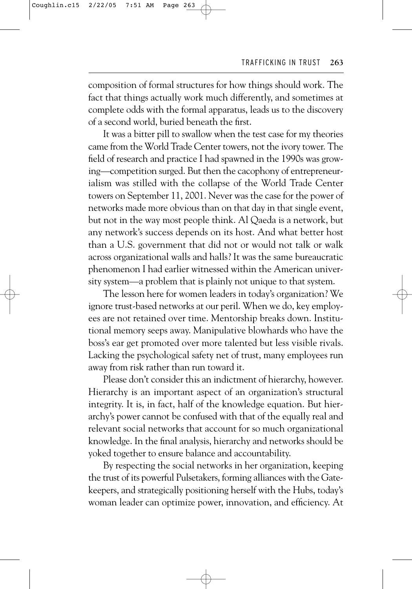composition of formal structures for how things should work. The fact that things actually work much differently, and sometimes at complete odds with the formal apparatus, leads us to the discovery of a second world, buried beneath the first.

Coughlin.c15 2/22/05 7:51 AM

It was a bitter pill to swallow when the test case for my theories came from the World Trade Center towers, not the ivory tower. The field of research and practice I had spawned in the 1990s was growing—competition surged. But then the cacophony of entrepreneurialism was stilled with the collapse of the World Trade Center towers on September 11, 2001. Never was the case for the power of networks made more obvious than on that day in that single event, but not in the way most people think. Al Qaeda is a network, but any network's success depends on its host. And what better host than a U.S. government that did not or would not talk or walk across organizational walls and halls? It was the same bureaucratic phenomenon I had earlier witnessed within the American university system—a problem that is plainly not unique to that system.

The lesson here for women leaders in today's organization? We ignore trust-based networks at our peril. When we do, key employees are not retained over time. Mentorship breaks down. Institutional memory seeps away. Manipulative blowhards who have the boss's ear get promoted over more talented but less visible rivals. Lacking the psychological safety net of trust, many employees run away from risk rather than run toward it.

Please don't consider this an indictment of hierarchy, however. Hierarchy is an important aspect of an organization's structural integrity. It is, in fact, half of the knowledge equation. But hierarchy's power cannot be confused with that of the equally real and relevant social networks that account for so much organizational knowledge. In the final analysis, hierarchy and networks should be yoked together to ensure balance and accountability.

By respecting the social networks in her organization, keeping the trust of its powerful Pulsetakers, forming alliances with the Gatekeepers, and strategically positioning herself with the Hubs, today's woman leader can optimize power, innovation, and efficiency. At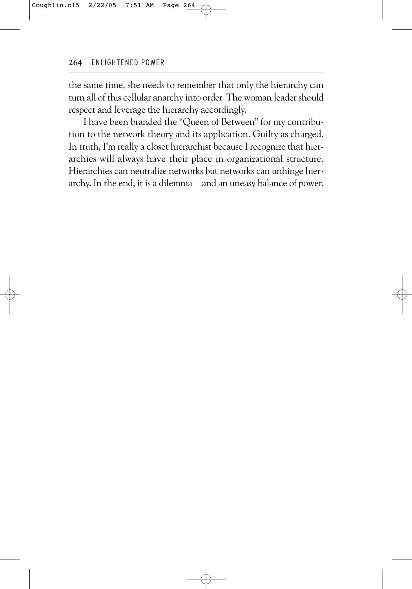the same time, she needs to remember that only the hierarchy can turn all of this cellular anarchy into order. The woman leader should respect and leverage the hierarchy accordingly.

I have been branded the "Queen of Between" for my contribution to the network theory and its application. Guilty as charged. In truth, I'm really a closet hierarchist because I recognize that hierarchies will always have their place in organizational structure. Hierarchies can neutralize networks but networks can unhinge hierarchy. In the end, it is a dilemma—and an uneasy balance of power.